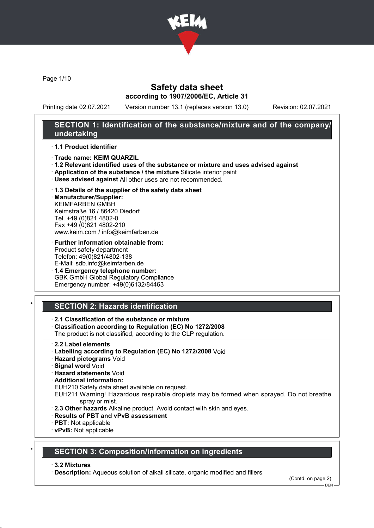

Page 1/10

### Safety data sheet according to 1907/2006/EC, Article 31

Printing date 02.07.2021 Version number 13.1 (replaces version 13.0) Revision: 02.07.2021

### SECTION 1: Identification of the substance/mixture and of the company/ undertaking

#### · 1.1 Product identifier

- · Trade name: KEIM QUARZIL
- · 1.2 Relevant identified uses of the substance or mixture and uses advised against
- · Application of the substance / the mixture Silicate interior paint
- · Uses advised against All other uses are not recommended.

### · 1.3 Details of the supplier of the safety data sheet

· Manufacturer/Supplier: KEIMFARBEN GMBH Keimstraße 16 / 86420 Diedorf Tel. +49 (0)821 4802-0 Fax +49 (0)821 4802-210 www.keim.com / info@keimfarben.de

- · Further information obtainable from: Product safety department Telefon: 49(0)821/4802-138 E-Mail: sdb.info@keimfarben.de
- · 1.4 Emergency telephone number: GBK GmbH Global Regulatory Compliance Emergency number: +49(0)6132/84463

## **SECTION 2: Hazards identification**

### · 2.1 Classification of the substance or mixture

· Classification according to Regulation (EC) No 1272/2008

The product is not classified, according to the CLP regulation.

- · 2.2 Label elements
- · Labelling according to Regulation (EC) No 1272/2008 Void
- · Hazard pictograms Void
- · Signal word Void
- · Hazard statements Void
- · Additional information:

EUH210 Safety data sheet available on request.

EUH211 Warning! Hazardous respirable droplets may be formed when sprayed. Do not breathe spray or mist.

- · 2.3 Other hazards Alkaline product. Avoid contact with skin and eyes.
- · Results of PBT and vPvB assessment
- · PBT: Not applicable
- · vPvB: Not applicable

### **SECTION 3: Composition/information on ingredients**

#### · 3.2 Mixtures

· Description: Aqueous solution of alkali silicate, organic modified and fillers

(Contd. on page 2)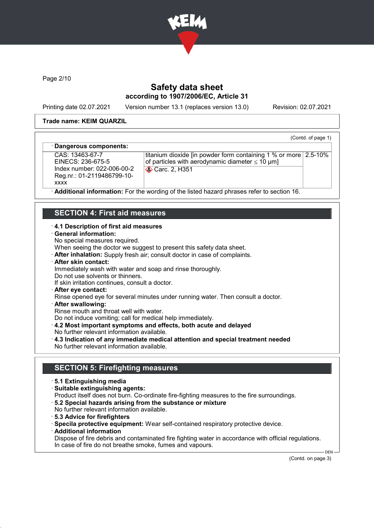

Page 2/10

## Safety data sheet according to 1907/2006/EC, Article 31

Printing date 02.07.2021 Version number 13.1 (replaces version 13.0) Revision: 02.07.2021

(Contd. of page 1)

#### Trade name: KEIM QUARZIL

#### Dangerous components:

CAS: 13463-67-7 EINECS: 236-675-5 Index number: 022-006-00-2 Reg.nr.: 01-2119486799-10 xxxx

titanium dioxide [in powder form containing 1 % or more 2.5-10% of particles with aerodynamic diameter  $\leq 10 \text{ }\mu\text{m}$ ] **Carc. 2, H351** 

Additional information: For the wording of the listed hazard phrases refer to section 16.

### SECTION 4: First aid measures

#### · 4.1 Description of first aid measures

- · General information:
- No special measures required.

When seeing the doctor we suggest to present this safety data sheet.

- · After inhalation: Supply fresh air; consult doctor in case of complaints.
- · After skin contact:

Immediately wash with water and soap and rinse thoroughly.

Do not use solvents or thinners.

If skin irritation continues, consult a doctor.

· After eye contact:

Rinse opened eye for several minutes under running water. Then consult a doctor.

· After swallowing:

Rinse mouth and throat well with water.

Do not induce vomiting; call for medical help immediately.

- · 4.2 Most important symptoms and effects, both acute and delayed
- No further relevant information available.
- · 4.3 Indication of any immediate medical attention and special treatment needed No further relevant information available.

### SECTION 5: Firefighting measures

- · 5.1 Extinguishing media
- · Suitable extinguishing agents:
- Product itself does not burn. Co-ordinate fire-fighting measures to the fire surroundings.
- · 5.2 Special hazards arising from the substance or mixture
- No further relevant information available.
- · 5.3 Advice for firefighters
- · Specila protective equipment: Wear self-contained respiratory protective device.
- · Additional information
- Dispose of fire debris and contaminated fire fighting water in accordance with official regulations. In case of fire do not breathe smoke, fumes and vapours.

(Contd. on page 3)

 $-$  DEN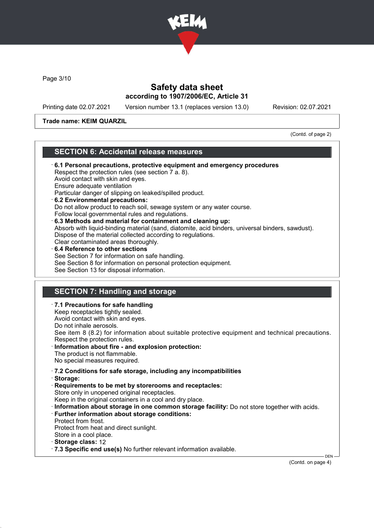

Page 3/10

### Safety data sheet according to 1907/2006/EC, Article 31

Printing date 02.07.2021 Version number 13.1 (replaces version 13.0) Revision: 02.07.2021

Trade name: KEIM QUARZIL

(Contd. of page 2)

### SECTION 6: Accidental release measures

· 6.1 Personal precautions, protective equipment and emergency procedures Respect the protection rules (see section 7 a. 8). Avoid contact with skin and eyes. Ensure adequate ventilation Particular danger of slipping on leaked/spilled product. · 6.2 Environmental precautions: Do not allow product to reach soil, sewage system or any water course. Follow local governmental rules and regulations. · 6.3 Methods and material for containment and cleaning up: Absorb with liquid-binding material (sand, diatomite, acid binders, universal binders, sawdust). Dispose of the material collected according to regulations. Clear contaminated areas thoroughly. 6.4 Reference to other sections See Section 7 for information on safe handling. See Section 8 for information on personal protection equipment. See Section 13 for disposal information.

## SECTION 7: Handling and storage

- · 7.1 Precautions for safe handling Keep receptacles tightly sealed.
- Avoid contact with skin and eyes.
- Do not inhale aerosols.

See item 8 (8.2) for information about suitable protective equipment and technical precautions. Respect the protection rules.

Information about fire - and explosion protection: The product is not flammable.

No special measures required.

- · 7.2 Conditions for safe storage, including any incompatibilities
- · Storage:
- · Requirements to be met by storerooms and receptacles: Store only in unopened original receptacles. Keep in the original containers in a cool and dry place.
- · Information about storage in one common storage facility: Do not store together with acids.
- · Further information about storage conditions:
- Protect from frost.
- Protect from heat and direct sunlight.
- Store in a cool place.
- Storage class: 12
- · 7.3 Specific end use(s) No further relevant information available.

(Contd. on page 4)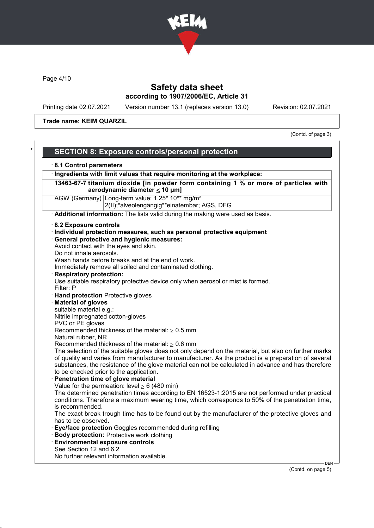

Page 4/10

## Safety data sheet according to 1907/2006/EC, Article 31

Printing date 02.07.2021 Version number 13.1 (replaces version 13.0) Revision: 02.07.2021

Trade name: KEIM QUARZIL

(Contd. of page 3)

| 8.1 Control parameters                                                                                                     |                                                                                                                                                                                                                                                                                                                                                               |  |
|----------------------------------------------------------------------------------------------------------------------------|---------------------------------------------------------------------------------------------------------------------------------------------------------------------------------------------------------------------------------------------------------------------------------------------------------------------------------------------------------------|--|
| · Ingredients with limit values that require monitoring at the workplace:                                                  |                                                                                                                                                                                                                                                                                                                                                               |  |
| 13463-67-7 titanium dioxide [in powder form containing 1 % or more of particles with<br>aerodynamic diameter $\leq 10$ µm] |                                                                                                                                                                                                                                                                                                                                                               |  |
|                                                                                                                            | AGW (Germany) Long-term value: 1.25* 10** mg/m <sup>3</sup><br>2(II);*alveolengängig**einatembar; AGS, DFG                                                                                                                                                                                                                                                    |  |
|                                                                                                                            | Additional information: The lists valid during the making were used as basis.                                                                                                                                                                                                                                                                                 |  |
| 8.2 Exposure controls                                                                                                      |                                                                                                                                                                                                                                                                                                                                                               |  |
|                                                                                                                            | · Individual protection measures, such as personal protective equipment                                                                                                                                                                                                                                                                                       |  |
|                                                                                                                            | · General protective and hygienic measures:                                                                                                                                                                                                                                                                                                                   |  |
| Avoid contact with the eyes and skin.                                                                                      |                                                                                                                                                                                                                                                                                                                                                               |  |
| Do not inhale aerosols.                                                                                                    |                                                                                                                                                                                                                                                                                                                                                               |  |
|                                                                                                                            | Wash hands before breaks and at the end of work.                                                                                                                                                                                                                                                                                                              |  |
|                                                                                                                            | Immediately remove all soiled and contaminated clothing.                                                                                                                                                                                                                                                                                                      |  |
| <b>Respiratory protection:</b>                                                                                             |                                                                                                                                                                                                                                                                                                                                                               |  |
|                                                                                                                            | Use suitable respiratory protective device only when aerosol or mist is formed.                                                                                                                                                                                                                                                                               |  |
| Filter: P                                                                                                                  |                                                                                                                                                                                                                                                                                                                                                               |  |
| · Hand protection Protective gloves                                                                                        |                                                                                                                                                                                                                                                                                                                                                               |  |
| <b>Material of gloves</b>                                                                                                  |                                                                                                                                                                                                                                                                                                                                                               |  |
| suitable material e.g.:                                                                                                    |                                                                                                                                                                                                                                                                                                                                                               |  |
| Nitrile impregnated cotton-gloves<br>PVC or PE gloves                                                                      |                                                                                                                                                                                                                                                                                                                                                               |  |
|                                                                                                                            | Recommended thickness of the material: $\geq 0.5$ mm                                                                                                                                                                                                                                                                                                          |  |
| Natural rubber, NR                                                                                                         |                                                                                                                                                                                                                                                                                                                                                               |  |
|                                                                                                                            | Recommended thickness of the material: $\geq 0.6$ mm                                                                                                                                                                                                                                                                                                          |  |
| Penetration time of glove material                                                                                         | The selection of the suitable gloves does not only depend on the material, but also on further marks<br>of quality and varies from manufacturer to manufacturer. As the product is a preparation of several<br>substances, the resistance of the glove material can not be calculated in advance and has therefore<br>to be checked prior to the application. |  |
|                                                                                                                            | Value for the permeation: level $\geq 6$ (480 min)                                                                                                                                                                                                                                                                                                            |  |
| is recommended.                                                                                                            | The determined penetration times according to EN 16523-1:2015 are not performed under practical<br>conditions. Therefore a maximum wearing time, which corresponds to 50% of the penetration time,                                                                                                                                                            |  |
| has to be observed.                                                                                                        | The exact break trough time has to be found out by the manufacturer of the protective gloves and                                                                                                                                                                                                                                                              |  |
|                                                                                                                            | Eye/face protection Goggles recommended during refilling                                                                                                                                                                                                                                                                                                      |  |
|                                                                                                                            | <b>Body protection: Protective work clothing</b>                                                                                                                                                                                                                                                                                                              |  |
| <b>Environmental exposure controls</b>                                                                                     |                                                                                                                                                                                                                                                                                                                                                               |  |
| See Section 12 and 6.2                                                                                                     |                                                                                                                                                                                                                                                                                                                                                               |  |
|                                                                                                                            | No further relevant information available.<br><b>DEN</b>                                                                                                                                                                                                                                                                                                      |  |

(Contd. on page 5)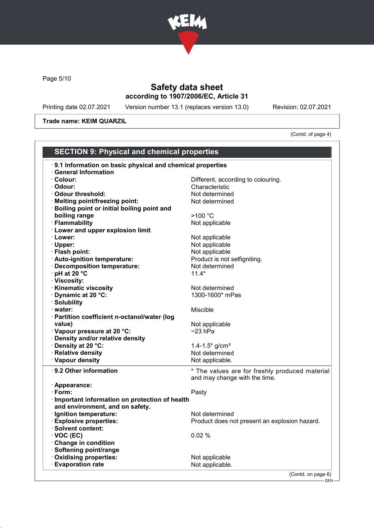

Page 5/10

## Safety data sheet according to 1907/2006/EC, Article 31

Printing date 02.07.2021 Version number 13.1 (replaces version 13.0) Revision: 02.07.2021

Trade name: KEIM QUARZIL

(Contd. of page 4)

| <b>SECTION 9: Physical and chemical properties</b>        |                                                |  |
|-----------------------------------------------------------|------------------------------------------------|--|
| 9.1 Information on basic physical and chemical properties |                                                |  |
| <b>General Information</b>                                |                                                |  |
| · Colour:                                                 | Different, according to colouring.             |  |
| · Odour:                                                  | Characteristic                                 |  |
| Odour threshold:                                          | Not determined                                 |  |
| · Melting point/freezing point:                           | Not determined                                 |  |
| Boiling point or initial boiling point and                |                                                |  |
| boiling range                                             | >100 °C                                        |  |
| · Flammability                                            | Not applicable                                 |  |
| <b>Lower and upper explosion limit</b>                    |                                                |  |
| · Lower:                                                  | Not applicable                                 |  |
| $\cdot$ Upper:                                            | Not applicable                                 |  |
| · Flash point:                                            | Not applicable                                 |  |
| · Auto-ignition temperature:                              | Product is not selfigniting.                   |  |
| · Decomposition temperature:                              | Not determined                                 |  |
| pH at 20 °C                                               | $11.4*$                                        |  |
| · Viscosity:                                              |                                                |  |
| <b>Kinematic viscosity</b>                                | Not determined                                 |  |
| Dynamic at 20 °C:                                         | 1300-1600* mPas                                |  |
| · Solubility                                              |                                                |  |
| · water:                                                  | Miscible                                       |  |
| · Partition coefficient n-octanol/water (log              |                                                |  |
| value)                                                    | Not applicable                                 |  |
| · Vapour pressure at 20 °C:                               | $~23$ hPa                                      |  |
| Density and/or relative density                           |                                                |  |
| Density at 20 °C:                                         | 1.4-1.5 $*$ g/cm <sup>3</sup>                  |  |
| · Relative density                                        | Not determined                                 |  |
| · Vapour density                                          | Not applicable.                                |  |
| ⋅ 9.2 Other information                                   | * The values are for freshly produced material |  |
|                                                           | and may change with the time.                  |  |
| · Appearance:                                             |                                                |  |
| $\cdot$ Form:                                             | Pasty                                          |  |
| Important information on protection of health             |                                                |  |
| and environment, and on safety.                           |                                                |  |
| · Ignition temperature:                                   | Not determined                                 |  |
| <b>Explosive properties:</b>                              | Product does not present an explosion hazard.  |  |
| · Solvent content:                                        |                                                |  |
| $\cdot$ VOC (EC)                                          | 0.02%                                          |  |
| <b>Change in condition</b>                                |                                                |  |
| Softening point/range                                     |                                                |  |
| <b>Oxidising properties:</b>                              | Not applicable                                 |  |
| <b>Evaporation rate</b>                                   | Not applicable.                                |  |
|                                                           | (Contd. on page 6)                             |  |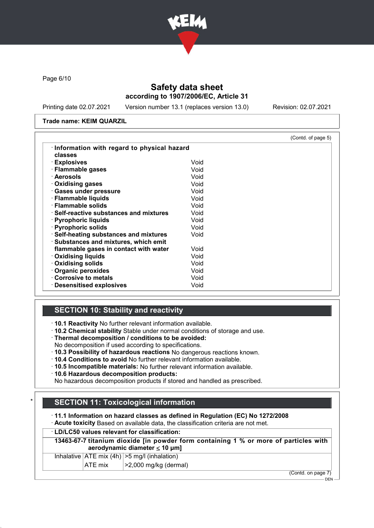

Page 6/10

## Safety data sheet according to 1907/2006/EC, Article 31

Printing date 02.07.2021 Version number 13.1 (replaces version 13.0) Revision: 02.07.2021

#### Trade name: KEIM QUARZIL

|                                            |      | (Contd. of page 5) |
|--------------------------------------------|------|--------------------|
| Information with regard to physical hazard |      |                    |
| classes                                    |      |                    |
| · Explosives                               | Void |                    |
| · Flammable gases                          | Void |                    |
| · Aerosols                                 | Void |                    |
| Oxidising gases                            | Void |                    |
| · Gases under pressure                     | Void |                    |
| · Flammable liquids                        | Void |                    |
| · Flammable solids                         | Void |                    |
| ⋅ Self-reactive substances and mixtures    | Void |                    |
| · Pyrophoric liquids                       | Void |                    |
| · Pyrophoric solids                        | Void |                    |
| · Self-heating substances and mixtures     | Void |                    |
| · Substances and mixtures, which emit      |      |                    |
| flammable gases in contact with water      | Void |                    |
| $\cdot$ Oxidising liquids                  | Void |                    |
| · Oxidising solids                         | Void |                    |
| · Organic peroxides                        | Void |                    |
| Corrosive to metals                        | Void |                    |
| · Desensitised explosives                  | Void |                    |

## **SECTION 10: Stability and reactivity**

· 10.1 Reactivity No further relevant information available.

- · 10.2 Chemical stability Stable under normal conditions of storage and use.
- · Thermal decomposition / conditions to be avoided:
- No decomposition if used according to specifications.
- · 10.3 Possibility of hazardous reactions No dangerous reactions known.
- · 10.4 Conditions to avoid No further relevant information available.
- · 10.5 Incompatible materials: No further relevant information available.
- · 10.6 Hazardous decomposition products:

No hazardous decomposition products if stored and handled as prescribed.

## **SECTION 11: Toxicological information**

· 11.1 Information on hazard classes as defined in Regulation (EC) No 1272/2008

- · Acute toxicity Based on available data, the classification criteria are not met.
- · LD/LC50 values relevant for classification:
- 13463-67-7 titanium dioxide [in powder form containing 1 % or more of particles with aerodynamic diameter  $\leq 10 \mu m$ ]

Inhalative  $|ATE \text{ mix } (4h) | > 5 \text{ mg/l } (inhalation)$ 

ATE mix  $\vert$  >2,000 mg/kg (dermal)

(Contd. on page 7)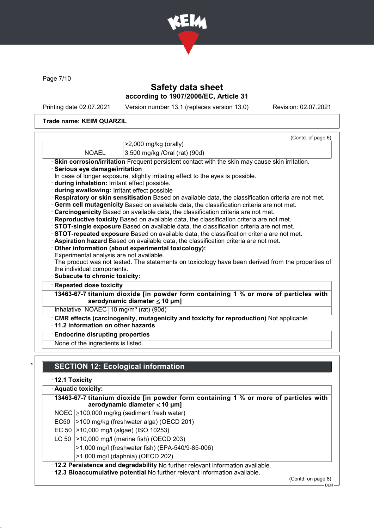

Page 7/10

## Safety data sheet according to 1907/2006/EC, Article 31

Printing date 02.07.2021 Version number 13.1 (replaces version 13.0) Revision: 02.07.2021

### Trade name: KEIM QUARZIL

|                                        | (Contd. of page 6)                                                                                                                                                                        |
|----------------------------------------|-------------------------------------------------------------------------------------------------------------------------------------------------------------------------------------------|
|                                        | $>2,000$ mg/kg (orally)                                                                                                                                                                   |
| <b>NOAEL</b>                           | 3,500 mg/kg /Oral (rat) (90d)                                                                                                                                                             |
|                                        | · Skin corrosion/irritation Frequent persistent contact with the skin may cause skin irritation.                                                                                          |
| Serious eye damage/irritation          |                                                                                                                                                                                           |
|                                        | In case of longer exposure, slightly irritating effect to the eyes is possible.                                                                                                           |
|                                        | · during inhalation: Irritant effect possible.                                                                                                                                            |
|                                        | during swallowing: Irritant effect possible                                                                                                                                               |
|                                        | Respiratory or skin sensitisation Based on available data, the classification criteria are not met.                                                                                       |
|                                        | · Germ cell mutagenicity Based on available data, the classification criteria are not met.                                                                                                |
|                                        |                                                                                                                                                                                           |
|                                        | · Carcinogenicity Based on available data, the classification criteria are not met.                                                                                                       |
|                                        | · Reproductive toxicity Based on available data, the classification criteria are not met.                                                                                                 |
|                                        | STOT-single exposure Based on available data, the classification criteria are not met.                                                                                                    |
|                                        | STOT-repeated exposure Based on available data, the classification criteria are not met.                                                                                                  |
|                                        | · Aspiration hazard Based on available data, the classification criteria are not met.                                                                                                     |
|                                        | Other information (about experimental toxicology):                                                                                                                                        |
|                                        | Experimental analysis are not available.                                                                                                                                                  |
| the individual components.             |                                                                                                                                                                                           |
| · Subacute to chronic toxicity:        |                                                                                                                                                                                           |
| · Repeated dose toxicity               |                                                                                                                                                                                           |
|                                        |                                                                                                                                                                                           |
|                                        | aerodynamic diameter $\leq 10$ µm]                                                                                                                                                        |
|                                        | Inhalative $NOAEC$ 10 mg/m <sup>3</sup> (rat) (90d)                                                                                                                                       |
|                                        | CMR effects (carcinogenity, mutagenicity and toxicity for reproduction) Not applicable                                                                                                    |
|                                        | 11.2 Information on other hazards                                                                                                                                                         |
| <b>Endocrine disrupting properties</b> | The product was not tested. The statements on toxicology have been derived from the properties of<br>13463-67-7 titanium dioxide [in powder form containing 1 % or more of particles with |

# **SECTION 12: Ecological information**

· 12.1 Toxicity

| · Aquatic toxicity:                                                                                                                                            |  |  |  |
|----------------------------------------------------------------------------------------------------------------------------------------------------------------|--|--|--|
| 13463-67-7 titanium dioxide [in powder form containing 1 % or more of particles with<br>aerodynamic diameter $\leq 10$ µm]                                     |  |  |  |
| NOEC $\geq$ 100,000 mg/kg (sediment fresh water)                                                                                                               |  |  |  |
| >100 mg/kg (freshwater alga) (OECD 201)<br>EC50                                                                                                                |  |  |  |
| >10,000 mg/l (algae) (ISO 10253)<br>EC 50                                                                                                                      |  |  |  |
| LC 50   > 10,000 mg/l (marine fish) (OECD 203)                                                                                                                 |  |  |  |
| >1,000 mg/l (freshwater fish) (EPA-540/9-85-006)                                                                                                               |  |  |  |
| >1,000 mg/l (daphnia) (OECD 202)                                                                                                                               |  |  |  |
| . 12.2 Persistence and degradability No further relevant information available.<br>. 12.3 Bioaccumulative potential No further relevant information available. |  |  |  |

(Contd. on page 8)

 $-$  DEN -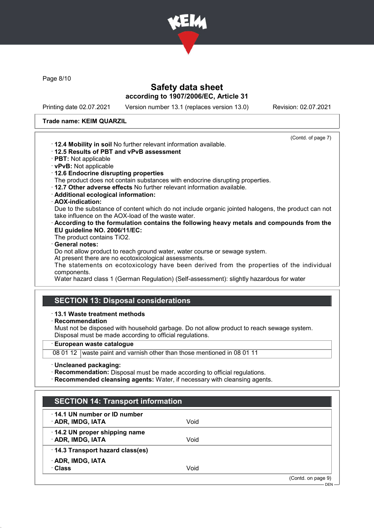

Page 8/10

### Safety data sheet according to 1907/2006/EC, Article 31

Printing date 02.07.2021 Version number 13.1 (replaces version 13.0) Revision: 02.07.2021

#### Trade name: KEIM QUARZIL

- (Contd. of page 7) · 12.4 Mobility in soil No further relevant information available. · 12.5 Results of PBT and vPvB assessment · PBT: Not applicable · vPvB: Not applicable · 12.6 Endocrine disrupting properties The product does not contain substances with endocrine disrupting properties. · 12.7 Other adverse effects No further relevant information available. · Additional ecological information:
	- · AOX-indication:

Due to the substance of content which do not include organic jointed halogens, the product can not take influence on the AOX-load of the waste water.

- · According to the formulation contains the following heavy metals and compounds from the EU guideline NO. 2006/11/EC:
- The product contains TiO2.

### General notes:

Do not allow product to reach ground water, water course or sewage system.

At present there are no ecotoxicological assessments.

The statements on ecotoxicology have been derived from the properties of the individual components.

Water hazard class 1 (German Regulation) (Self-assessment): slightly hazardous for water

## SECTION 13: Disposal considerations

#### · 13.1 Waste treatment methods

· Recommendation

Must not be disposed with household garbage. Do not allow product to reach sewage system. Disposal must be made according to official regulations.

· European waste catalogue

08 01 12 waste paint and varnish other than those mentioned in 08 01 11

- · Uncleaned packaging:
- · Recommendation: Disposal must be made according to official regulations.
- · Recommended cleansing agents: Water, if necessary with cleansing agents.

| <b>SECTION 14: Transport information</b>          |      |                    |
|---------------------------------------------------|------|--------------------|
| 14.1 UN number or ID number<br>· ADR, IMDG, IATA  | Void |                    |
| 14.2 UN proper shipping name<br>· ADR, IMDG, IATA | Void |                    |
| 14.3 Transport hazard class(es)                   |      |                    |
| · ADR, IMDG, IATA<br>· Class                      | Void |                    |
|                                                   |      | (Contd. on page 9) |
|                                                   |      | $DEN -$            |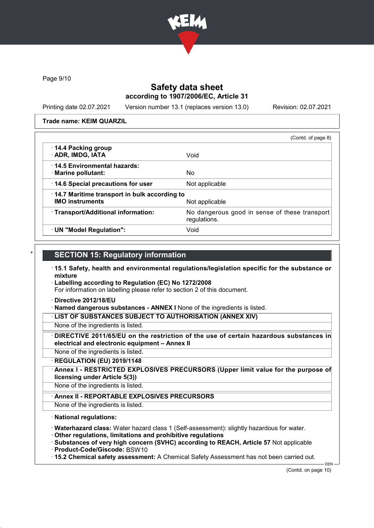

Page 9/10

### Safety data sheet according to 1907/2006/EC, Article 31

Printing date 02.07.2021 Version number 13.1 (replaces version 13.0) Revision: 02.07.2021

#### Trade name: KEIM QUARZIL

|                                                                        | (Contd. of page 8)                                            |
|------------------------------------------------------------------------|---------------------------------------------------------------|
| 14.4 Packing group<br>· ADR, IMDG, IATA                                | Void                                                          |
| 14.5 Environmental hazards:<br>· Marine pollutant:                     | No.                                                           |
| 14.6 Special precautions for user                                      | Not applicable                                                |
| 14.7 Maritime transport in bulk according to<br><b>IMO instruments</b> | Not applicable                                                |
| · Transport/Additional information:                                    | No dangerous good in sense of these transport<br>regulations. |
| · UN "Model Regulation":                                               | Void                                                          |

### **SECTION 15: Regulatory information**

- · 15.1 Safety, health and environmental regulations/legislation specific for the substance or mixture
- · Labelling according to Regulation (EC) No 1272/2008

For information on labelling please refer to section 2 of this document.

- · Directive 2012/18/EU
- · Named dangerous substances ANNEX I None of the ingredients is listed.

· LIST OF SUBSTANCES SUBJECT TO AUTHORISATION (ANNEX XIV)

- None of the ingredients is listed.
- DIRECTIVE 2011/65/EU on the restriction of the use of certain hazardous substances in electrical and electronic equipment – Annex II
- None of the ingredients is listed.
- · REGULATION (EU) 2019/1148
- Annex I RESTRICTED EXPLOSIVES PRECURSORS (Upper limit value for the purpose of licensing under Article 5(3))

None of the ingredients is listed.

Annex II - REPORTABLE EXPLOSIVES PRECURSORS

None of the ingredients is listed.

### · National regulations:

· Waterhazard class: Water hazard class 1 (Self-assessment): slightly hazardous for water.

· Other regulations, limitations and prohibitive regulations

· Substances of very high concern (SVHC) according to REACH, Article 57 Not applicable

- · Product-Code/Giscode: BSW10
- · 15.2 Chemical safety assessment: A Chemical Safety Assessment has not been carried out.